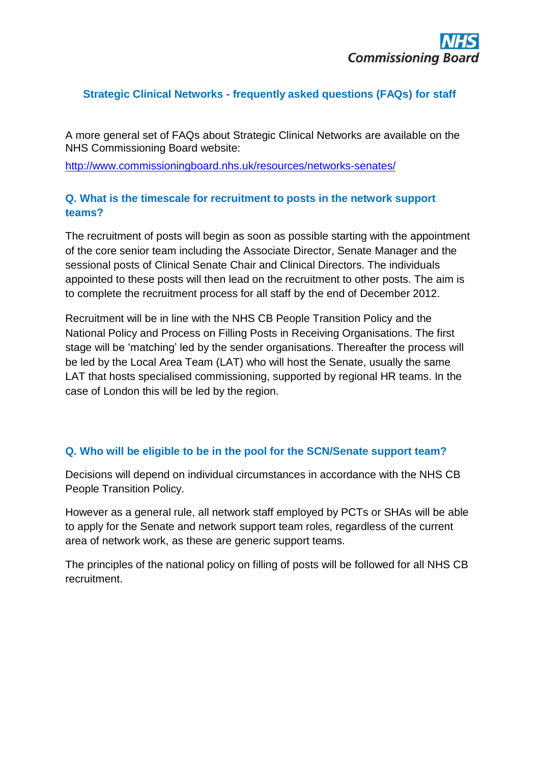## **Strategic Clinical Networks - frequently asked questions (FAQs) for staff**

A more general set of FAQs about Strategic Clinical Networks are available on the NHS Commissioning Board website:

<http://www.commissioningboard.nhs.uk/resources/networks-senates/>

## **Q. What is the timescale for recruitment to posts in the network support teams?**

The recruitment of posts will begin as soon as possible starting with the appointment of the core senior team including the Associate Director, Senate Manager and the sessional posts of Clinical Senate Chair and Clinical Directors. The individuals appointed to these posts will then lead on the recruitment to other posts. The aim is to complete the recruitment process for all staff by the end of December 2012.

Recruitment will be in line with the NHS CB People Transition Policy and the National Policy and Process on Filling Posts in Receiving Organisations. The first stage will be 'matching' led by the sender organisations. Thereafter the process will be led by the Local Area Team (LAT) who will host the Senate, usually the same LAT that hosts specialised commissioning, supported by regional HR teams. In the case of London this will be led by the region.

#### **Q. Who will be eligible to be in the pool for the SCN/Senate support team?**

Decisions will depend on individual circumstances in accordance with the NHS CB People Transition Policy.

However as a general rule, all network staff employed by PCTs or SHAs will be able to apply for the Senate and network support team roles, regardless of the current area of network work, as these are generic support teams.

The principles of the national policy on filling of posts will be followed for all NHS CB recruitment.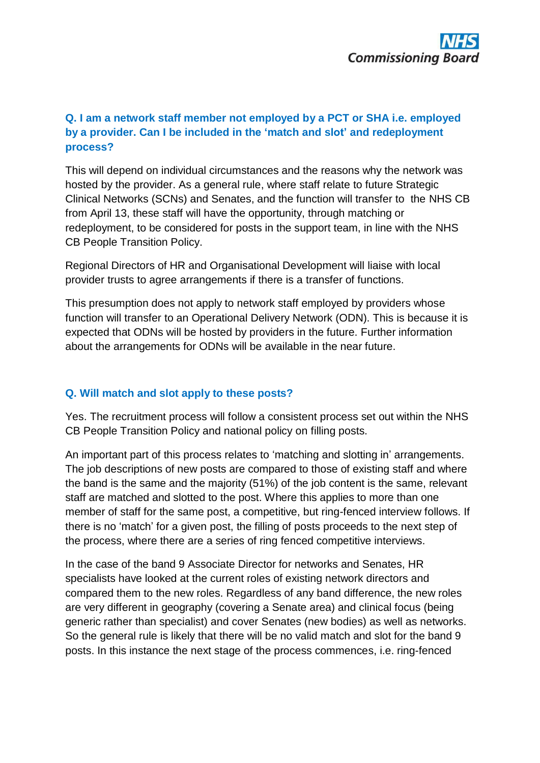# **Q. I am a network staff member not employed by a PCT or SHA i.e. employed by a provider. Can I be included in the 'match and slot' and redeployment process?**

This will depend on individual circumstances and the reasons why the network was hosted by the provider. As a general rule, where staff relate to future Strategic Clinical Networks (SCNs) and Senates, and the function will transfer to the NHS CB from April 13, these staff will have the opportunity, through matching or redeployment, to be considered for posts in the support team, in line with the NHS CB People Transition Policy.

Regional Directors of HR and Organisational Development will liaise with local provider trusts to agree arrangements if there is a transfer of functions.

This presumption does not apply to network staff employed by providers whose function will transfer to an Operational Delivery Network (ODN). This is because it is expected that ODNs will be hosted by providers in the future. Further information about the arrangements for ODNs will be available in the near future.

#### **Q. Will match and slot apply to these posts?**

Yes. The recruitment process will follow a consistent process set out within the NHS CB People Transition Policy and national policy on filling posts.

An important part of this process relates to 'matching and slotting in' arrangements. The job descriptions of new posts are compared to those of existing staff and where the band is the same and the majority (51%) of the job content is the same, relevant staff are matched and slotted to the post. Where this applies to more than one member of staff for the same post, a competitive, but ring-fenced interview follows. If there is no 'match' for a given post, the filling of posts proceeds to the next step of the process, where there are a series of ring fenced competitive interviews.

In the case of the band 9 Associate Director for networks and Senates, HR specialists have looked at the current roles of existing network directors and compared them to the new roles. Regardless of any band difference, the new roles are very different in geography (covering a Senate area) and clinical focus (being generic rather than specialist) and cover Senates (new bodies) as well as networks. So the general rule is likely that there will be no valid match and slot for the band 9 posts. In this instance the next stage of the process commences, i.e. ring-fenced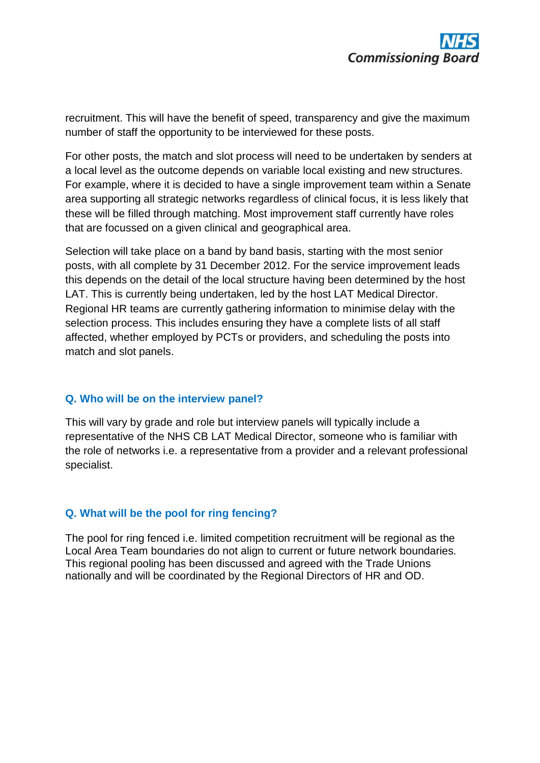recruitment. This will have the benefit of speed, transparency and give the maximum number of staff the opportunity to be interviewed for these posts.

For other posts, the match and slot process will need to be undertaken by senders at a local level as the outcome depends on variable local existing and new structures. For example, where it is decided to have a single improvement team within a Senate area supporting all strategic networks regardless of clinical focus, it is less likely that these will be filled through matching. Most improvement staff currently have roles that are focussed on a given clinical and geographical area.

Selection will take place on a band by band basis, starting with the most senior posts, with all complete by 31 December 2012. For the service improvement leads this depends on the detail of the local structure having been determined by the host LAT. This is currently being undertaken, led by the host LAT Medical Director. Regional HR teams are currently gathering information to minimise delay with the selection process. This includes ensuring they have a complete lists of all staff affected, whether employed by PCTs or providers, and scheduling the posts into match and slot panels.

#### **Q. Who will be on the interview panel?**

This will vary by grade and role but interview panels will typically include a representative of the NHS CB LAT Medical Director, someone who is familiar with the role of networks i.e. a representative from a provider and a relevant professional specialist.

#### **Q. What will be the pool for ring fencing?**

The pool for ring fenced i.e. limited competition recruitment will be regional as the Local Area Team boundaries do not align to current or future network boundaries. This regional pooling has been discussed and agreed with the Trade Unions nationally and will be coordinated by the Regional Directors of HR and OD.